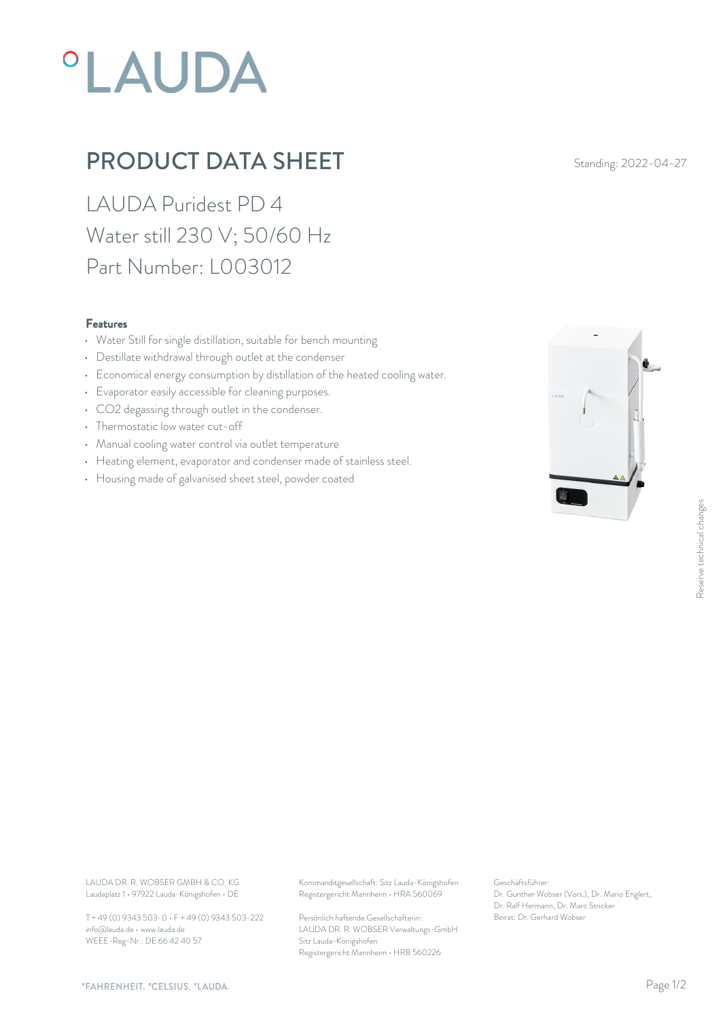# **°LAUDA**

## PRODUCT DATA SHEET Standing: 2022-04-27

LAUDA Puridest PD 4 Water still 230 V; 50/60 Hz Part Number: L003012

#### Features

- Water Still for single distillation, suitable for bench mounting
- Destillate withdrawal through outlet at the condenser
- Economical energy consumption by distillation of the heated cooling water.
- Evaporator easily accessible for cleaning purposes.
- CO2 degassing through outlet in the condenser.
- Thermostatic low water cut-off
- Manual cooling water control via outlet temperature
- Heating element, evaporator and condenser made of stainless steel.
- Housing made of galvanised sheet steel, powder coated



Laudaplatz 1 • 97922 Lauda-Königshofen • DE

T + 49 (0) 9343 503-0 • F + 49 (0) 9343 503-222 info@lauda.de • www.lauda.de WEEE-Reg-Nr.: DE 66 42 40 57

LAUDA DR. R. WOBSER GMBH & CO. KG Kommanditgesellschaft: Sitz Lauda-Königshofen Geschäftsführer: Registergericht Mannheim • HRA 560069

> Persönlich haftende Gesellschafterin: Beirat: Dr. Gerhard Wobse LAUDA DR. R. WOBSER Verwaltungs-GmbH Sitz Lauda-Königshofen Registergericht Mannheim • HRB 560226

Geschäftsführer: Dr. Gunther Wobser (Vors.), Dr. Mario Englert, Dr. Ralf Hermann, Dr. Marc Stricker Beschäftsführer:<br>Dr. Gunther Wobser (Vors.), Dr. Mario Englert,<br>Dr. Ralf Hermann, Dr. Marc Stricker<br>Beirat: Dr. Gerhard Wobser